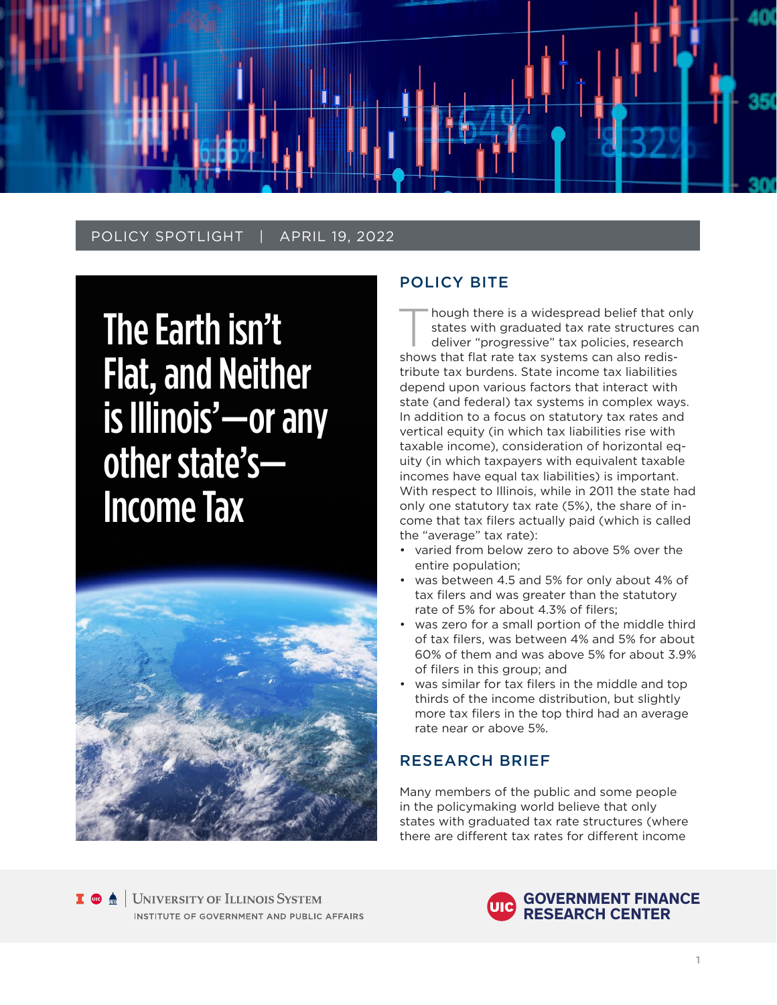

## POLICY SPOTLIGHT | APRIL 19, 2022

The Earth isn't Flat, and Neither is Illinois'—or any other state's— Income Tax



## POLICY BITE

Though there is a widespread belief that only<br>
states with graduated tax rate structures can<br>
deliver "progressive" tax policies, research<br>
shows that flat with the vertices can also redis states with graduated tax rate structures can shows that flat rate tax systems can also redistribute tax burdens. State income tax liabilities depend upon various factors that interact with state (and federal) tax systems in complex ways. In addition to a focus on statutory tax rates and vertical equity (in which tax liabilities rise with taxable income), consideration of horizontal equity (in which taxpayers with equivalent taxable incomes have equal tax liabilities) is important. With respect to Illinois, while in 2011 the state had only one statutory tax rate (5%), the share of income that tax filers actually paid (which is called the "average" tax rate):

- varied from below zero to above 5% over the entire population;
- was between 4.5 and 5% for only about 4% of tax filers and was greater than the statutory rate of 5% for about 4.3% of filers;
- was zero for a small portion of the middle third of tax filers, was between 4% and 5% for about 60% of them and was above 5% for about 3.9% of filers in this group; and
- was similar for tax filers in the middle and top thirds of the income distribution, but slightly more tax filers in the top third had an average rate near or above 5%.

## RESEARCH BRIEF

Many members of the public and some people in the policymaking world believe that only states with graduated tax rate structures (where there are different tax rates for different income

**I**  $\oplus$   $\triangle$  UNIVERSITY OF ILLINOIS SYSTEM INSTITUTE OF GOVERNMENT AND PUBLIC AFFAIRS

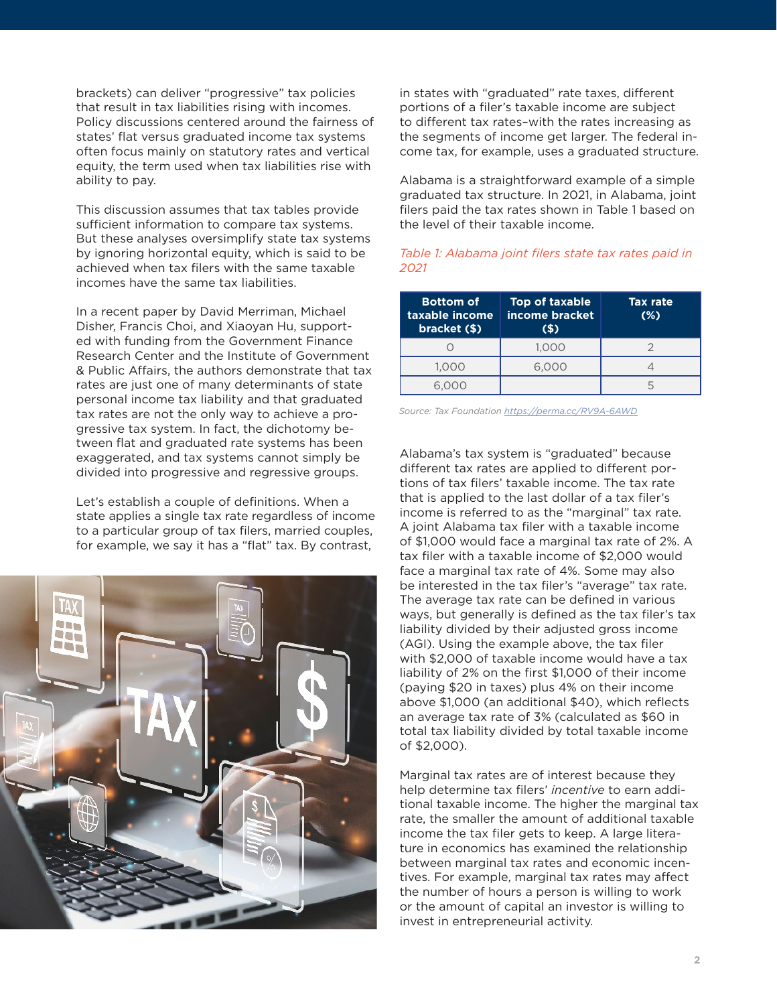brackets) can deliver "progressive" tax policies that result in tax liabilities rising with incomes. Policy discussions centered around the fairness of states' flat versus graduated income tax systems often focus mainly on statutory rates and vertical equity, the term used when tax liabilities rise with ability to pay.

This discussion assumes that tax tables provide sufficient information to compare tax systems. But these analyses oversimplify state tax systems by ignoring horizontal equity, which is said to be achieved when tax filers with the same taxable incomes have the same tax liabilities.

In a recent paper by David Merriman, Michael Disher, Francis Choi, and Xiaoyan Hu, supported with funding from the Government Finance Research Center and the Institute of Government & Public Affairs, the authors demonstrate that tax rates are just one of many determinants of state personal income tax liability and that graduated tax rates are not the only way to achieve a progressive tax system. In fact, the dichotomy between flat and graduated rate systems has been exaggerated, and tax systems cannot simply be divided into progressive and regressive groups.

Let's establish a couple of definitions. When a state applies a single tax rate regardless of income to a particular group of tax filers, married couples, for example, we say it has a "flat" tax. By contrast,



in states with "graduated" rate taxes, different portions of a filer's taxable income are subject to different tax rates–with the rates increasing as the segments of income get larger. The federal income tax, for example, uses a graduated structure.

Alabama is a straightforward example of a simple graduated tax structure. In 2021, in Alabama, joint filers paid the tax rates shown in Table 1 based on the level of their taxable income.

### *Table 1: Alabama joint filers state tax rates paid in 2021*

| <b>Bottom of</b><br>taxable income<br>bracket (\$) | Top of taxable<br>income bracket<br>(S) | <b>Tax rate</b><br>$(\%)$ |
|----------------------------------------------------|-----------------------------------------|---------------------------|
|                                                    | 1,000                                   |                           |
| 1.000                                              | 6.000                                   |                           |
|                                                    |                                         |                           |

*Source: Tax Foundation <https://perma.cc/RV9A-6AWD>*

Alabama's tax system is "graduated" because different tax rates are applied to different portions of tax filers' taxable income. The tax rate that is applied to the last dollar of a tax filer's income is referred to as the "marginal" tax rate. A joint Alabama tax filer with a taxable income of \$1,000 would face a marginal tax rate of 2%. A tax filer with a taxable income of \$2,000 would face a marginal tax rate of 4%. Some may also be interested in the tax filer's "average" tax rate. The average tax rate can be defined in various ways, but generally is defined as the tax filer's tax liability divided by their adjusted gross income (AGI). Using the example above, the tax filer with \$2,000 of taxable income would have a tax liability of 2% on the first \$1,000 of their income (paying \$20 in taxes) plus 4% on their income above \$1,000 (an additional \$40), which reflects an average tax rate of 3% (calculated as \$60 in total tax liability divided by total taxable income of \$2,000).

Marginal tax rates are of interest because they help determine tax filers' *incentive* to earn additional taxable income. The higher the marginal tax rate, the smaller the amount of additional taxable income the tax filer gets to keep. A large literature in economics has examined the relationship between marginal tax rates and economic incentives. For example, marginal tax rates may affect the number of hours a person is willing to work or the amount of capital an investor is willing to invest in entrepreneurial activity.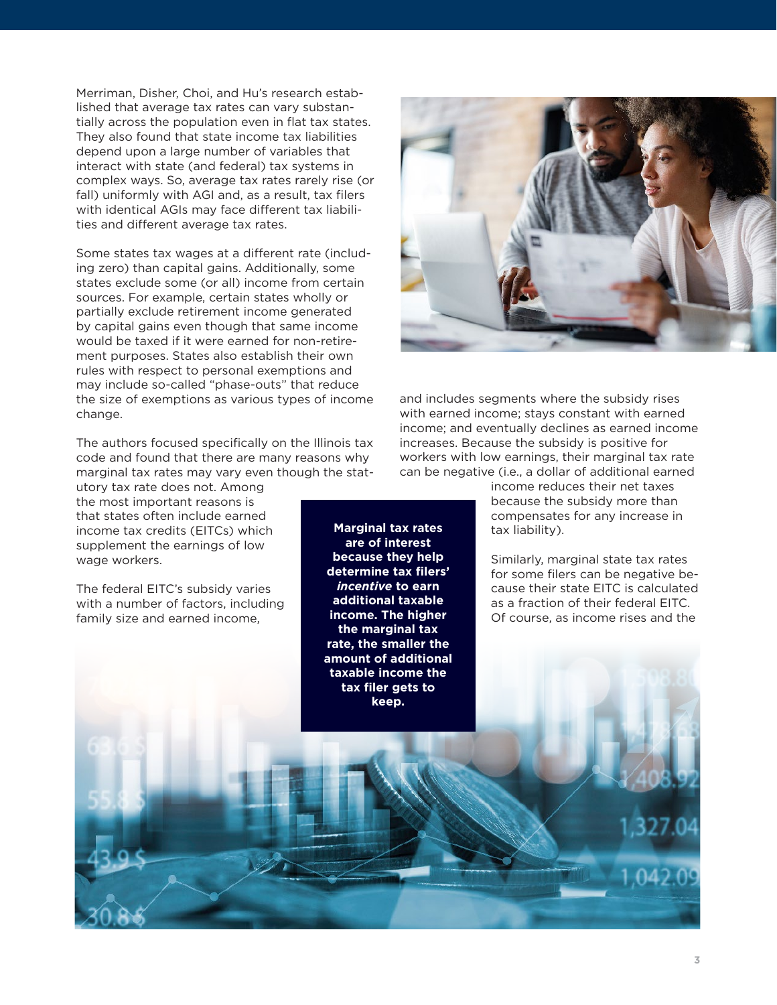Merriman, Disher, Choi, and Hu's research established that average tax rates can vary substantially across the population even in flat tax states. They also found that state income tax liabilities depend upon a large number of variables that interact with state (and federal) tax systems in complex ways. So, average tax rates rarely rise (or fall) uniformly with AGI and, as a result, tax filers with identical AGIs may face different tax liabilities and different average tax rates.

Some states tax wages at a different rate (including zero) than capital gains. Additionally, some states exclude some (or all) income from certain sources. For example, certain states wholly or partially exclude retirement income generated by capital gains even though that same income would be taxed if it were earned for non-retirement purposes. States also establish their own rules with respect to personal exemptions and may include so-called "phase-outs" that reduce the size of exemptions as various types of income change.

The authors focused specifically on the Illinois tax code and found that there are many reasons why marginal tax rates may vary even though the stat-

utory tax rate does not. Among the most important reasons is that states often include earned income tax credits (EITCs) which supplement the earnings of low wage workers.

The federal EITC's subsidy varies with a number of factors, including family size and earned income,

**Marginal tax rates are of interest because they help determine tax filers'**  *incentive* **to earn additional taxable income. The higher the marginal tax rate, the smaller the amount of additional taxable income the tax filer gets to keep.** 



and includes segments where the subsidy rises with earned income; stays constant with earned income; and eventually declines as earned income increases. Because the subsidy is positive for workers with low earnings, their marginal tax rate can be negative (i.e., a dollar of additional earned

> income reduces their net taxes because the subsidy more than compensates for any increase in tax liability).

Similarly, marginal state tax rates for some filers can be negative because their state EITC is calculated as a fraction of their federal EITC. Of course, as income rises and the

**3**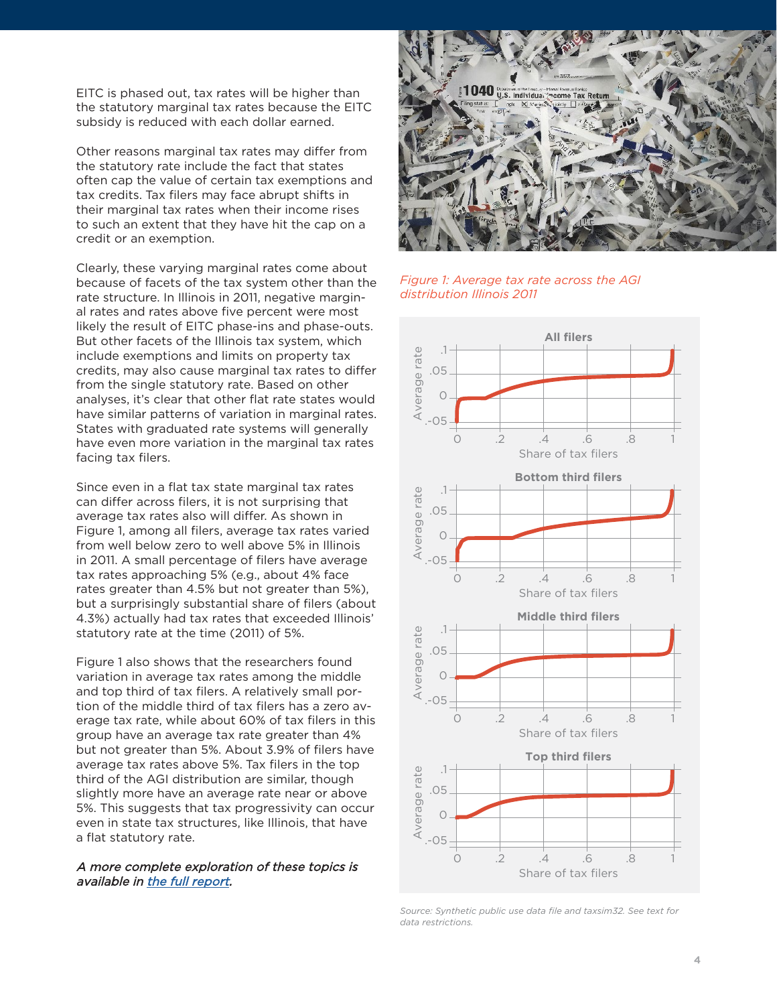EITC is phased out, tax rates will be higher than the statutory marginal tax rates because the EITC subsidy is reduced with each dollar earned.

Other reasons marginal tax rates may differ from the statutory rate include the fact that states often cap the value of certain tax exemptions and tax credits. Tax filers may face abrupt shifts in their marginal tax rates when their income rises to such an extent that they have hit the cap on a credit or an exemption.

Clearly, these varying marginal rates come about because of facets of the tax system other than the rate structure. In Illinois in 2011, negative marginal rates and rates above five percent were most likely the result of EITC phase-ins and phase-outs. But other facets of the Illinois tax system, which include exemptions and limits on property tax credits, may also cause marginal tax rates to differ from the single statutory rate. Based on other analyses, it's clear that other flat rate states would have similar patterns of variation in marginal rates. States with graduated rate systems will generally have even more variation in the marginal tax rates facing tax filers.

Since even in a flat tax state marginal tax rates can differ across filers, it is not surprising that average tax rates also will differ. As shown in Figure 1, among all filers, average tax rates varied from well below zero to well above 5% in Illinois in 2011. A small percentage of filers have average tax rates approaching 5% (e.g., about 4% face rates greater than 4.5% but not greater than 5%), but a surprisingly substantial share of filers (about 4.3%) actually had tax rates that exceeded Illinois' statutory rate at the time (2011) of 5%.

Figure 1 also shows that the researchers found variation in average tax rates among the middle and top third of tax filers. A relatively small portion of the middle third of tax filers has a zero average tax rate, while about 60% of tax filers in this group have an average tax rate greater than 4% but not greater than 5%. About 3.9% of filers have average tax rates above 5%. Tax filers in the top third of the AGI distribution are similar, though slightly more have an average rate near or above 5%. This suggests that tax progressivity can occur even in state tax structures, like Illinois, that have a flat statutory rate.

#### A more complete exploration of these topics is available in [the full report](https://igpa.uillinois.edu/sites/igpa.uillinois.edu/files/reports/IGPA_Flat-vs-Grad-Tax_FULL_4.18.2022.pdf).



*Figure 1: Average tax rate across the AGI distribution Illinois 2011*



*Source: Synthetic public use data file and taxsim32. See text for data restrictions.*